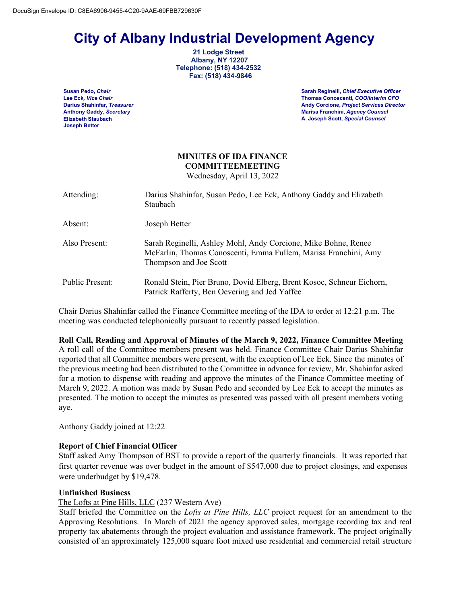# **City of Albany Industrial Development Agency 21 Lodge Street**

 **Albany, NY 12207 Telephone: (518) 434-2532 Fax: (518) 434-9846**

**Elizabeth Staubach Joseph Better**

**Susan Pedo,** *Chair* **Sarah Reginelli,** *Chief Executive Officer* **Lee Eck***, Vice Chair* **Thomas Conoscenti,** *COO/Interim CFO* **Darius Shahinfar,** *Treasurer* **Andy Corcione,** *Project Services Director* **Anthony Gaddy,** *Secretary* **Marisa Franchini,** *Agency Counsel* **A. Joseph Scott,** *Special Counsel*

# **MINUTES OF IDA FINANCE COMMITTEEMEETING** Wednesday, April 13, 2022

Attending: Darius Shahinfar, Susan Pedo, Lee Eck, Anthony Gaddy and Elizabeth Staubach Absent: Joseph Better Also Present: Sarah Reginelli, Ashley Mohl, Andy Corcione, Mike Bohne, Renee McFarlin, Thomas Conoscenti, Emma Fullem, Marisa Franchini, Amy Thompson and Joe Scott Public Present: Ronald Stein, Pier Bruno, Dovid Elberg, Brent Kosoc, Schneur Eichorn, Patrick Rafferty, Ben Oevering and Jed Yaffee

Chair Darius Shahinfar called the Finance Committee meeting of the IDA to order at 12:21 p.m. The meeting was conducted telephonically pursuant to recently passed legislation.

**Roll Call, Reading and Approval of Minutes of the March 9, 2022, Finance Committee Meeting** A roll call of the Committee members present was held. Finance Committee Chair Darius Shahinfar reported that all Committee members were present, with the exception of Lee Eck. Since the minutes of the previous meeting had been distributed to the Committee in advance for review, Mr. Shahinfar asked for a motion to dispense with reading and approve the minutes of the Finance Committee meeting of March 9, 2022. A motion was made by Susan Pedo and seconded by Lee Eck to accept the minutes as presented. The motion to accept the minutes as presented was passed with all present members voting aye.

Anthony Gaddy joined at 12:22

# **Report of Chief Financial Officer**

Staff asked Amy Thompson of BST to provide a report of the quarterly financials. It was reported that first quarter revenue was over budget in the amount of \$547,000 due to project closings, and expenses were underbudget by \$19,478.

# **Unfinished Business**

## The Lofts at Pine Hills, LLC (237 Western Ave)

 Staff briefed the Committee on the *Lofts at Pine Hills, LLC* project request for an amendment to the Approving Resolutions. In March of 2021 the agency approved sales, mortgage recording tax and real property tax abatements through the project evaluation and assistance framework. The project originally consisted of an approximately 125,000 square foot mixed use residential and commercial retail structure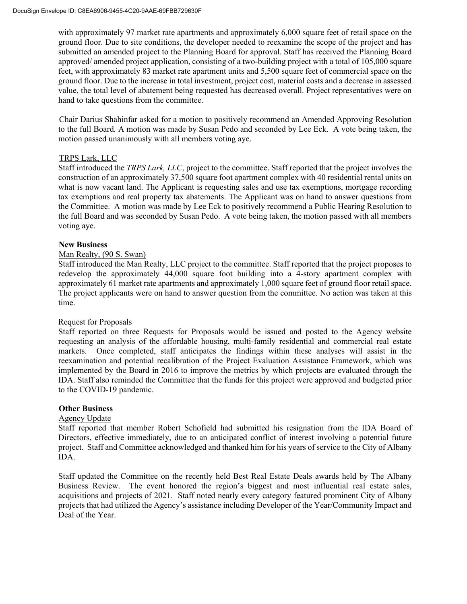with approximately 97 market rate apartments and approximately 6,000 square feet of retail space on the ground floor. Due to site conditions, the developer needed to reexamine the scope of the project and has submitted an amended project to the Planning Board for approval. Staff has received the Planning Board approved/ amended project application, consisting of a two-building project with a total of 105,000 square feet, with approximately 83 market rate apartment units and 5,500 square feet of commercial space on the ground floor. Due to the increase in total investment, project cost, material costs and a decrease in assessed value, the total level of abatement being requested has decreased overall. Project representatives were on hand to take questions from the committee.

 Chair Darius Shahinfar asked for a motion to positively recommend an Amended Approving Resolution to the full Board*.* A motion was made by Susan Pedo and seconded by Lee Eck. A vote being taken, the motion passed unanimously with all members voting aye.

# TRPS Lark, LLC

Staff introduced the *TRPS Lark, LLC*, project to the committee. Staff reported that the project involves the construction of an approximately 37,500 square foot apartment complex with 40 residential rental units on what is now vacant land. The Applicant is requesting sales and use tax exemptions, mortgage recording tax exemptions and real property tax abatements. The Applicant was on hand to answer questions from the Committee. A motion was made by Lee Eck to positively recommend a Public Hearing Resolution to the full Board and was seconded by Susan Pedo. A vote being taken, the motion passed with all members voting aye.

## **New Business**

## Man Realty, (90 S. Swan)

Staff introduced the Man Realty, LLC project to the committee. Staff reported that the project proposes to redevelop the approximately 44,000 square foot building into a 4-story apartment complex with approximately 61 market rate apartments and approximately 1,000 square feet of ground floor retail space. The project applicants were on hand to answer question from the committee. No action was taken at this time.

#### Request for Proposals

Staff reported on three Requests for Proposals would be issued and posted to the Agency website requesting an analysis of the affordable housing, multi-family residential and commercial real estate markets. Once completed, staff anticipates the findings within these analyses will assist in the reexamination and potential recalibration of the Project Evaluation Assistance Framework, which was implemented by the Board in 2016 to improve the metrics by which projects are evaluated through the IDA. Staff also reminded the Committee that the funds for this project were approved and budgeted prior to the COVID-19 pandemic.

#### **Other Business**

#### Agency Update

Staff reported that member Robert Schofield had submitted his resignation from the IDA Board of Directors, effective immediately, due to an anticipated conflict of interest involving a potential future project. Staff and Committee acknowledged and thanked him for his years of service to the City of Albany IDA.

Staff updated the Committee on the recently held Best Real Estate Deals awards held by The Albany Business Review. The event honored the region's biggest and most influential real estate sales, acquisitions and projects of 2021. Staff noted nearly every category featured prominent City of Albany projects that had utilized the Agency's assistance including Developer of the Year/Community Impact and Deal of the Year.